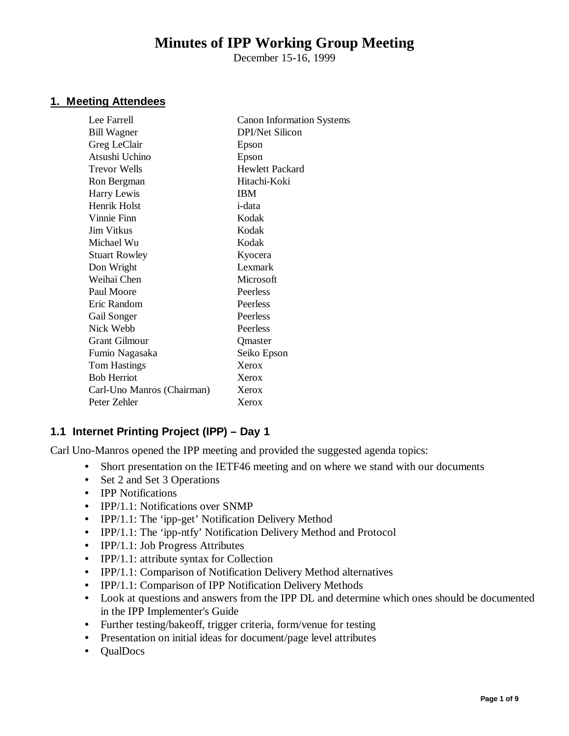# **Minutes of IPP Working Group Meeting**

December 15-16, 1999

#### **1. Meeting Attendees**

| <b>Canon Information Systems</b> |
|----------------------------------|
| DPI/Net Silicon                  |
| Epson                            |
| Epson                            |
| Hewlett Packard                  |
| Hitachi-Koki                     |
| <b>IBM</b>                       |
| i-data                           |
| Kodak                            |
| Kodak                            |
| Kodak                            |
| Kyocera                          |
| Lexmark                          |
| Microsoft                        |
| Peerless                         |
| Peerless                         |
| Peerless                         |
| Peerless                         |
| Qmaster                          |
| Seiko Epson                      |
| Xerox                            |
| Xerox                            |
| Xerox                            |
| Xerox                            |
|                                  |

# **1.1 Internet Printing Project (IPP) – Day 1**

Carl Uno-Manros opened the IPP meeting and provided the suggested agenda topics:

- Short presentation on the IETF46 meeting and on where we stand with our documents
- Set 2 and Set 3 Operations
- **IPP Notifications**
- IPP/1.1: Notifications over SNMP
- IPP/1.1: The 'ipp-get' Notification Delivery Method
- IPP/1.1: The 'ipp-ntfy' Notification Delivery Method and Protocol
- IPP/1.1: Job Progress Attributes
- IPP/1.1: attribute syntax for Collection
- IPP/1.1: Comparison of Notification Delivery Method alternatives
- IPP/1.1: Comparison of IPP Notification Delivery Methods
- Look at questions and answers from the IPP DL and determine which ones should be documented in the IPP Implementer's Guide
- Further testing/bakeoff, trigger criteria, form/venue for testing
- Presentation on initial ideas for document/page level attributes
- QualDocs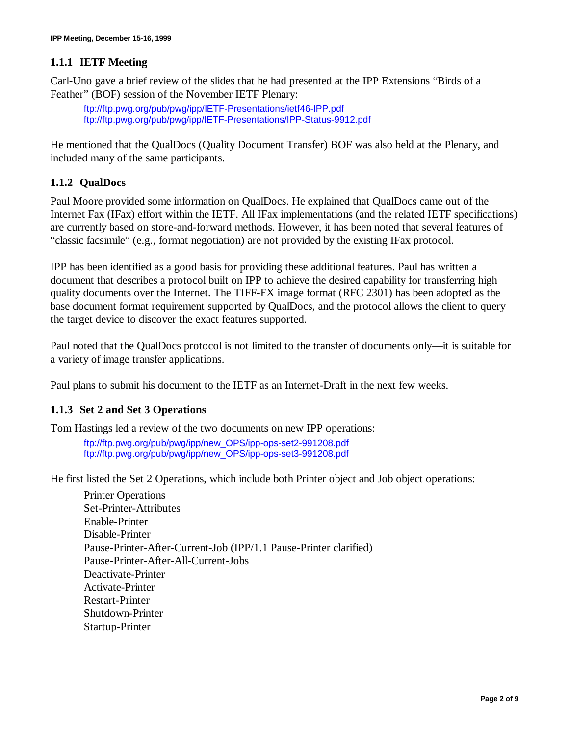# **1.1.1 IETF Meeting**

Carl-Uno gave a brief review of the slides that he had presented at the IPP Extensions "Birds of a Feather" (BOF) session of the November IETF Plenary:

ftp://ftp.pwg.org/pub/pwg/ipp/IETF-Presentations/ietf46-IPP.pdf ftp://ftp.pwg.org/pub/pwg/ipp/IETF-Presentations/IPP-Status-9912.pdf

He mentioned that the QualDocs (Quality Document Transfer) BOF was also held at the Plenary, and included many of the same participants.

# **1.1.2 QualDocs**

Paul Moore provided some information on QualDocs. He explained that QualDocs came out of the Internet Fax (IFax) effort within the IETF. All IFax implementations (and the related IETF specifications) are currently based on store-and-forward methods. However, it has been noted that several features of "classic facsimile" (e.g., format negotiation) are not provided by the existing IFax protocol.

IPP has been identified as a good basis for providing these additional features. Paul has written a document that describes a protocol built on IPP to achieve the desired capability for transferring high quality documents over the Internet. The TIFF-FX image format (RFC 2301) has been adopted as the base document format requirement supported by QualDocs, and the protocol allows the client to query the target device to discover the exact features supported.

Paul noted that the QualDocs protocol is not limited to the transfer of documents only— it is suitable for a variety of image transfer applications.

Paul plans to submit his document to the IETF as an Internet-Draft in the next few weeks.

## **1.1.3 Set 2 and Set 3 Operations**

Tom Hastings led a review of the two documents on new IPP operations:

ftp://ftp.pwg.org/pub/pwg/ipp/new\_OPS/ipp-ops-set2-991208.pdf ftp://ftp.pwg.org/pub/pwg/ipp/new\_OPS/ipp-ops-set3-991208.pdf

He first listed the Set 2 Operations, which include both Printer object and Job object operations:

Printer Operations Set-Printer-Attributes Enable-Printer Disable-Printer Pause-Printer-After-Current-Job (IPP/1.1 Pause-Printer clarified) Pause-Printer-After-All-Current-Jobs Deactivate-Printer Activate-Printer Restart-Printer Shutdown-Printer Startup-Printer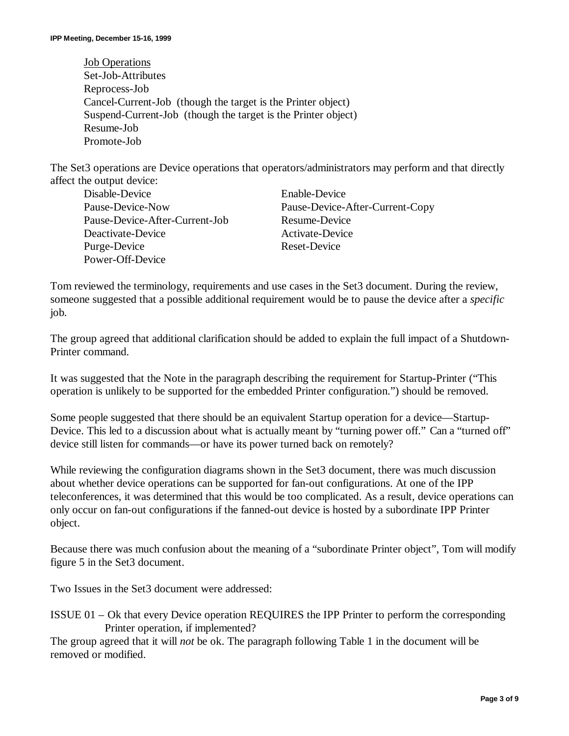Job Operations Set-Job-Attributes Reprocess-Job Cancel-Current-Job (though the target is the Printer object) Suspend-Current-Job (though the target is the Printer object) Resume-Job Promote-Job

The Set3 operations are Device operations that operators/administrators may perform and that directly affect the output device:

| Disable-Device                 | Enable-Device                   |
|--------------------------------|---------------------------------|
| Pause-Device-Now               | Pause-Device-After-Current-Copy |
| Pause-Device-After-Current-Job | Resume-Device                   |
| Deactivate-Device              | Activate-Device                 |
| Purge-Device                   | Reset-Device                    |
| Power-Off-Device               |                                 |

Tom reviewed the terminology, requirements and use cases in the Set3 document. During the review, someone suggested that a possible additional requirement would be to pause the device after a *specific* job.

The group agreed that additional clarification should be added to explain the full impact of a Shutdown-Printer command.

It was suggested that the Note in the paragraph describing the requirement for Startup-Printer ("This operation is unlikely to be supported for the embedded Printer configuration.") should be removed.

Some people suggested that there should be an equivalent Startup operation for a device— Startup-Device. This led to a discussion about what is actually meant by "turning power off." Can a "turned off" device still listen for commands— or have its power turned back on remotely?

While reviewing the configuration diagrams shown in the Set3 document, there was much discussion about whether device operations can be supported for fan-out configurations. At one of the IPP teleconferences, it was determined that this would be too complicated. As a result, device operations can only occur on fan-out configurations if the fanned-out device is hosted by a subordinate IPP Printer object.

Because there was much confusion about the meaning of a "subordinate Printer object", Tom will modify figure 5 in the Set3 document.

Two Issues in the Set3 document were addressed:

```
ISSUE 01 – Ok that every Device operation REQUIRES the IPP Printer to perform the corresponding
Printer operation, if implemented?
```
The group agreed that it will *not* be ok. The paragraph following Table 1 in the document will be removed or modified.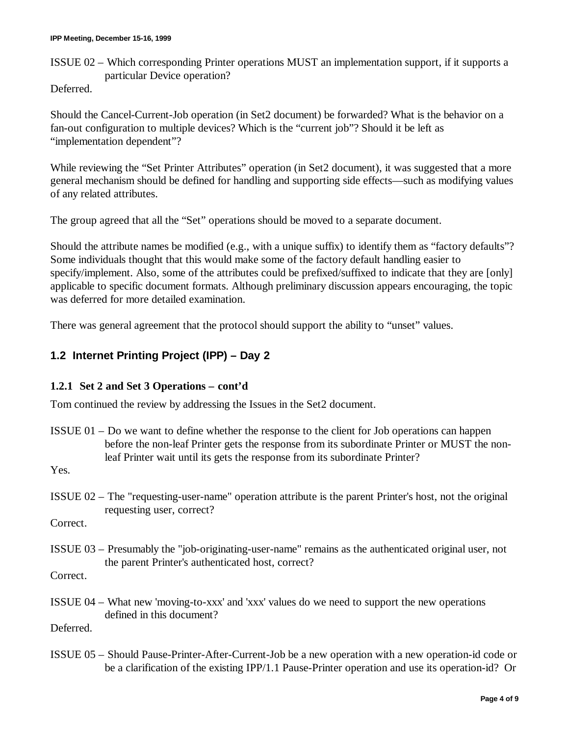ISSUE 02 – Which corresponding Printer operations MUST an implementation support, if it supports a particular Device operation?

Deferred.

Should the Cancel-Current-Job operation (in Set2 document) be forwarded? What is the behavior on a fan-out configuration to multiple devices? Which is the "current job"? Should it be left as "implementation dependent"?

While reviewing the "Set Printer Attributes" operation (in Set2 document), it was suggested that a more general mechanism should be defined for handling and supporting side effects— such as modifying values of any related attributes.

The group agreed that all the "Set" operations should be moved to a separate document.

Should the attribute names be modified (e.g., with a unique suffix) to identify them as "factory defaults"? Some individuals thought that this would make some of the factory default handling easier to specify/implement. Also, some of the attributes could be prefixed/suffixed to indicate that they are [only] applicable to specific document formats. Although preliminary discussion appears encouraging, the topic was deferred for more detailed examination.

There was general agreement that the protocol should support the ability to "unset" values.

# **1.2 Internet Printing Project (IPP) – Day 2**

## **1.2.1 Set 2 and Set 3 Operations – cont'd**

Tom continued the review by addressing the Issues in the Set2 document.

ISSUE 01 – Do we want to define whether the response to the client for Job operations can happen before the non-leaf Printer gets the response from its subordinate Printer or MUST the nonleaf Printer wait until its gets the response from its subordinate Printer?

Yes.

ISSUE 02 – The "requesting-user-name" operation attribute is the parent Printer's host, not the original requesting user, correct?

Correct.

ISSUE 03 – Presumably the "job-originating-user-name" remains as the authenticated original user, not the parent Printer's authenticated host, correct?

Correct.

ISSUE 04 – What new 'moving-to-xxx' and 'xxx' values do we need to support the new operations defined in this document?

Deferred.

ISSUE 05 – Should Pause-Printer-After-Current-Job be a new operation with a new operation-id code or be a clarification of the existing IPP/1.1 Pause-Printer operation and use its operation-id? Or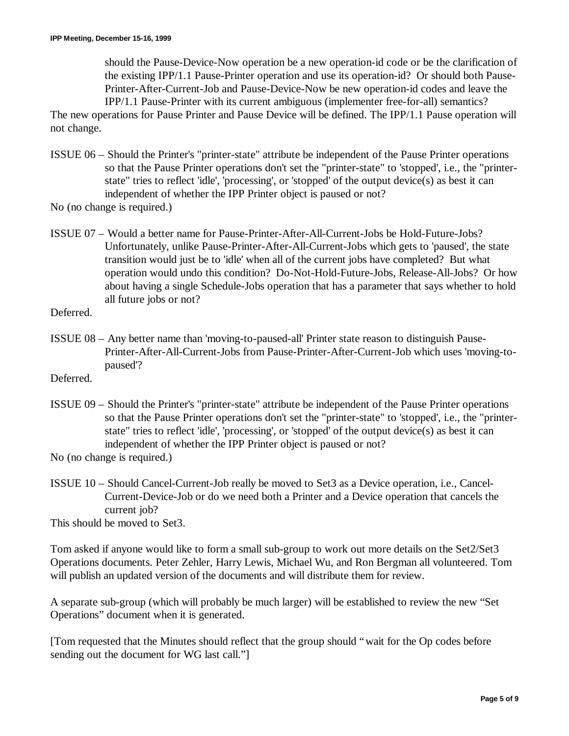should the Pause-Device-Now operation be a new operation-id code or be the clarification of the existing IPP/1.1 Pause-Printer operation and use its operation-id? Or should both Pause-Printer-After-Current-Job and Pause-Device-Now be new operation-id codes and leave the IPP/1.1 Pause-Printer with its current ambiguous (implementer free-for-all) semantics?

The new operations for Pause Printer and Pause Device will be defined. The IPP/1.1 Pause operation will not change.

- ISSUE 06 Should the Printer's "printer-state" attribute be independent of the Pause Printer operations so that the Pause Printer operations don't set the "printer-state" to 'stopped', i.e., the "printerstate" tries to reflect 'idle', 'processing', or 'stopped' of the output device(s) as best it can independent of whether the IPP Printer object is paused or not?
- No (no change is required.)
- ISSUE 07 Would a better name for Pause-Printer-After-All-Current-Jobs be Hold-Future-Jobs? Unfortunately, unlike Pause-Printer-After-All-Current-Jobs which gets to 'paused', the state transition would just be to 'idle' when all of the current jobs have completed? But what operation would undo this condition? Do-Not-Hold-Future-Jobs, Release-All-Jobs? Or how about having a single Schedule-Jobs operation that has a parameter that says whether to hold all future jobs or not?
- Deferred.
- ISSUE 08 Any better name than 'moving-to-paused-all' Printer state reason to distinguish Pause-Printer-After-All-Current-Jobs from Pause-Printer-After-Current-Job which uses 'moving-topaused'?
- Deferred.
- ISSUE 09 Should the Printer's "printer-state" attribute be independent of the Pause Printer operations so that the Pause Printer operations don't set the "printer-state" to 'stopped', i.e., the "printerstate" tries to reflect 'idle', 'processing', or 'stopped' of the output device(s) as best it can independent of whether the IPP Printer object is paused or not?
- No (no change is required.)
- ISSUE 10 Should Cancel-Current-Job really be moved to Set3 as a Device operation, i.e., Cancel-Current-Device-Job or do we need both a Printer and a Device operation that cancels the current job?

This should be moved to Set3.

Tom asked if anyone would like to form a small sub-group to work out more details on the Set2/Set3 Operations documents. Peter Zehler, Harry Lewis, Michael Wu, and Ron Bergman all volunteered. Tom will publish an updated version of the documents and will distribute them for review.

A separate sub-group (which will probably be much larger) will be established to review the new "Set Operations" document when it is generated.

[Tom requested that the Minutes should reflect that the group should "wait for the Op codes before sending out the document for WG last call."]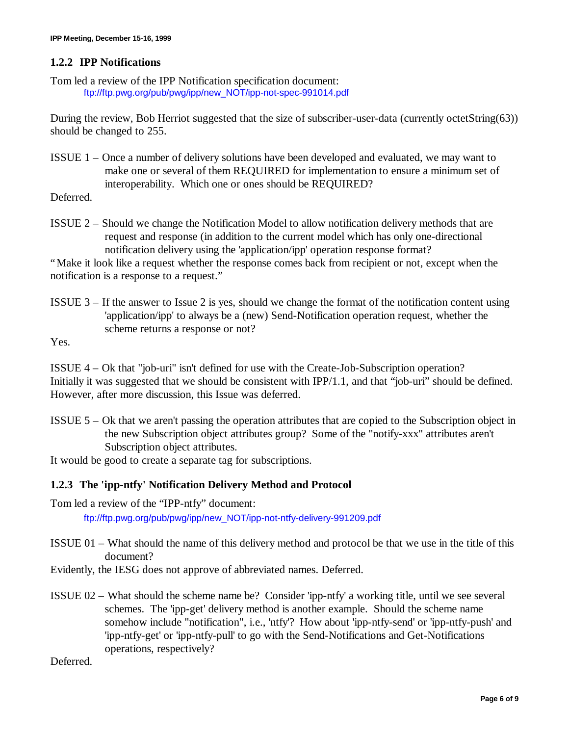## **1.2.2 IPP Notifications**

Tom led a review of the IPP Notification specification document: ftp://ftp.pwg.org/pub/pwg/ipp/new\_NOT/ipp-not-spec-991014.pdf

During the review, Bob Herriot suggested that the size of subscriber-user-data (currently octetString(63)) should be changed to 255.

ISSUE 1 – Once a number of delivery solutions have been developed and evaluated, we may want to make one or several of them REQUIRED for implementation to ensure a minimum set of interoperability. Which one or ones should be REQUIRED?

Deferred.

ISSUE 2 – Should we change the Notification Model to allow notification delivery methods that are request and response (in addition to the current model which has only one-directional notification delivery using the 'application/ipp' operation response format?

"Make it look like a request whether the response comes back from recipient or not, except when the notification is a response to a request."

ISSUE 3 – If the answer to Issue 2 is yes, should we change the format of the notification content using 'application/ipp' to always be a (new) Send-Notification operation request, whether the scheme returns a response or not?

Yes.

ISSUE 4 – Ok that "job-uri" isn't defined for use with the Create-Job-Subscription operation? Initially it was suggested that we should be consistent with IPP/1.1, and that "job-uri" should be defined. However, after more discussion, this Issue was deferred.

ISSUE 5 – Ok that we aren't passing the operation attributes that are copied to the Subscription object in the new Subscription object attributes group? Some of the "notify-xxx" attributes aren't Subscription object attributes.

It would be good to create a separate tag for subscriptions.

## **1.2.3 The 'ipp-ntfy' Notification Delivery Method and Protocol**

Tom led a review of the "IPP-ntfy" document:

ftp://ftp.pwg.org/pub/pwg/ipp/new\_NOT/ipp-not-ntfy-delivery-991209.pdf

- ISSUE 01 What should the name of this delivery method and protocol be that we use in the title of this document?
- Evidently, the IESG does not approve of abbreviated names. Deferred.
- ISSUE 02 What should the scheme name be? Consider 'ipp-ntfy' a working title, until we see several schemes. The 'ipp-get' delivery method is another example. Should the scheme name somehow include "notification", i.e., 'ntfy'? How about 'ipp-ntfy-send' or 'ipp-ntfy-push' and 'ipp-ntfy-get' or 'ipp-ntfy-pull' to go with the Send-Notifications and Get-Notifications operations, respectively?

Deferred.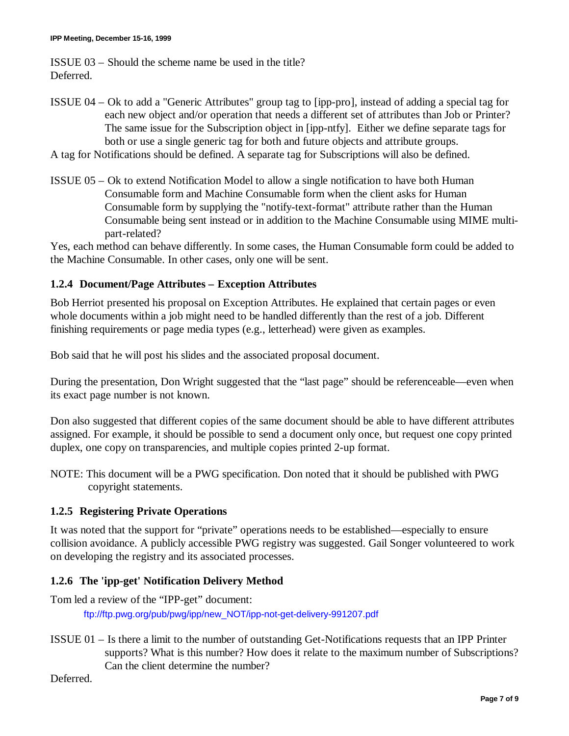ISSUE 03 – Should the scheme name be used in the title? Deferred.

- ISSUE 04 Ok to add a "Generic Attributes" group tag to [ipp-pro], instead of adding a special tag for each new object and/or operation that needs a different set of attributes than Job or Printer? The same issue for the Subscription object in [ipp-ntfy]. Either we define separate tags for both or use a single generic tag for both and future objects and attribute groups.
- A tag for Notifications should be defined. A separate tag for Subscriptions will also be defined.
- ISSUE 05 Ok to extend Notification Model to allow a single notification to have both Human Consumable form and Machine Consumable form when the client asks for Human Consumable form by supplying the "notify-text-format" attribute rather than the Human Consumable being sent instead or in addition to the Machine Consumable using MIME multipart-related?

Yes, each method can behave differently. In some cases, the Human Consumable form could be added to the Machine Consumable. In other cases, only one will be sent.

## **1.2.4 Document/Page Attributes – Exception Attributes**

Bob Herriot presented his proposal on Exception Attributes. He explained that certain pages or even whole documents within a job might need to be handled differently than the rest of a job. Different finishing requirements or page media types (e.g., letterhead) were given as examples.

Bob said that he will post his slides and the associated proposal document.

During the presentation, Don Wright suggested that the "last page" should be referenceable— even when its exact page number is not known.

Don also suggested that different copies of the same document should be able to have different attributes assigned. For example, it should be possible to send a document only once, but request one copy printed duplex, one copy on transparencies, and multiple copies printed 2-up format.

NOTE: This document will be a PWG specification. Don noted that it should be published with PWG copyright statements.

## **1.2.5 Registering Private Operations**

It was noted that the support for "private" operations needs to be established— especially to ensure collision avoidance. A publicly accessible PWG registry was suggested. Gail Songer volunteered to work on developing the registry and its associated processes.

## **1.2.6 The 'ipp-get' Notification Delivery Method**

Tom led a review of the "IPP-get" document: ftp://ftp.pwg.org/pub/pwg/ipp/new\_NOT/ipp-not-get-delivery-991207.pdf

ISSUE 01 – Is there a limit to the number of outstanding Get-Notifications requests that an IPP Printer supports? What is this number? How does it relate to the maximum number of Subscriptions? Can the client determine the number?

Deferred.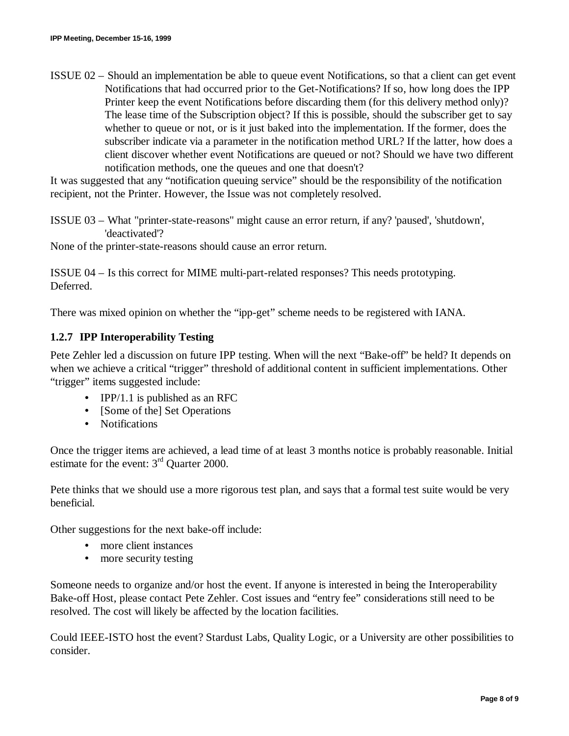ISSUE 02 – Should an implementation be able to queue event Notifications, so that a client can get event Notifications that had occurred prior to the Get-Notifications? If so, how long does the IPP Printer keep the event Notifications before discarding them (for this delivery method only)? The lease time of the Subscription object? If this is possible, should the subscriber get to say whether to queue or not, or is it just baked into the implementation. If the former, does the subscriber indicate via a parameter in the notification method URL? If the latter, how does a client discover whether event Notifications are queued or not? Should we have two different notification methods, one the queues and one that doesn't?

It was suggested that any "notification queuing service" should be the responsibility of the notification recipient, not the Printer. However, the Issue was not completely resolved.

ISSUE 03 – What "printer-state-reasons" might cause an error return, if any? 'paused', 'shutdown', 'deactivated'?

None of the printer-state-reasons should cause an error return.

ISSUE 04 – Is this correct for MIME multi-part-related responses? This needs prototyping. Deferred.

There was mixed opinion on whether the "ipp-get" scheme needs to be registered with IANA.

#### **1.2.7 IPP Interoperability Testing**

Pete Zehler led a discussion on future IPP testing. When will the next "Bake-off" be held? It depends on when we achieve a critical "trigger" threshold of additional content in sufficient implementations. Other "trigger" items suggested include:

- IPP/1.1 is published as an RFC
- [Some of the] Set Operations
- Notifications

Once the trigger items are achieved, a lead time of at least 3 months notice is probably reasonable. Initial estimate for the event: 3<sup>rd</sup> Ouarter 2000.

Pete thinks that we should use a more rigorous test plan, and says that a formal test suite would be very beneficial.

Other suggestions for the next bake-off include:

- more client instances
- more security testing

Someone needs to organize and/or host the event. If anyone is interested in being the Interoperability Bake-off Host, please contact Pete Zehler. Cost issues and "entry fee" considerations still need to be resolved. The cost will likely be affected by the location facilities.

Could IEEE-ISTO host the event? Stardust Labs, Quality Logic, or a University are other possibilities to consider.